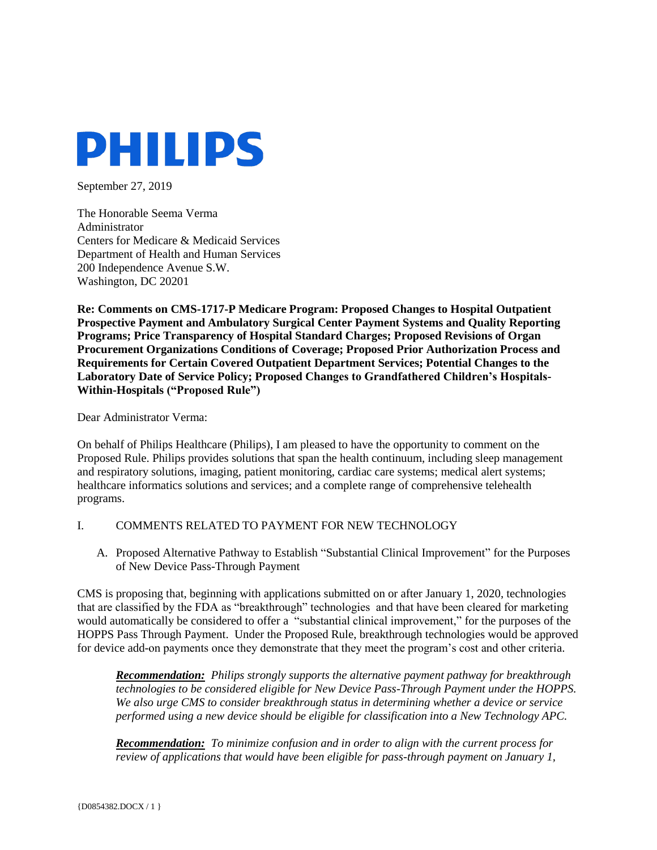

September 27, 2019

The Honorable Seema Verma Administrator Centers for Medicare & Medicaid Services Department of Health and Human Services 200 Independence Avenue S.W. Washington, DC 20201

**Re: Comments on CMS-1717-P Medicare Program: Proposed Changes to Hospital Outpatient Prospective Payment and Ambulatory Surgical Center Payment Systems and Quality Reporting Programs; Price Transparency of Hospital Standard Charges; Proposed Revisions of Organ Procurement Organizations Conditions of Coverage; Proposed Prior Authorization Process and Requirements for Certain Covered Outpatient Department Services; Potential Changes to the Laboratory Date of Service Policy; Proposed Changes to Grandfathered Children's Hospitals-Within-Hospitals ("Proposed Rule")**

#### Dear Administrator Verma:

On behalf of Philips Healthcare (Philips), I am pleased to have the opportunity to comment on the Proposed Rule. Philips provides solutions that span the health continuum, including sleep management and respiratory solutions, imaging, patient monitoring, cardiac care systems; medical alert systems; healthcare informatics solutions and services; and a complete range of comprehensive telehealth programs.

#### I. COMMENTS RELATED TO PAYMENT FOR NEW TECHNOLOGY

A. Proposed Alternative Pathway to Establish "Substantial Clinical Improvement" for the Purposes of New Device Pass-Through Payment

CMS is proposing that, beginning with applications submitted on or after January 1, 2020, technologies that are classified by the FDA as "breakthrough" technologies and that have been cleared for marketing would automatically be considered to offer a "substantial clinical improvement," for the purposes of the HOPPS Pass Through Payment. Under the Proposed Rule, breakthrough technologies would be approved for device add-on payments once they demonstrate that they meet the program's cost and other criteria.

*Recommendation: Philips strongly supports the alternative payment pathway for breakthrough technologies to be considered eligible for New Device Pass-Through Payment under the HOPPS. We also urge CMS to consider breakthrough status in determining whether a device or service performed using a new device should be eligible for classification into a New Technology APC.* 

*Recommendation: To minimize confusion and in order to align with the current process for review of applications that would have been eligible for pass-through payment on January 1,*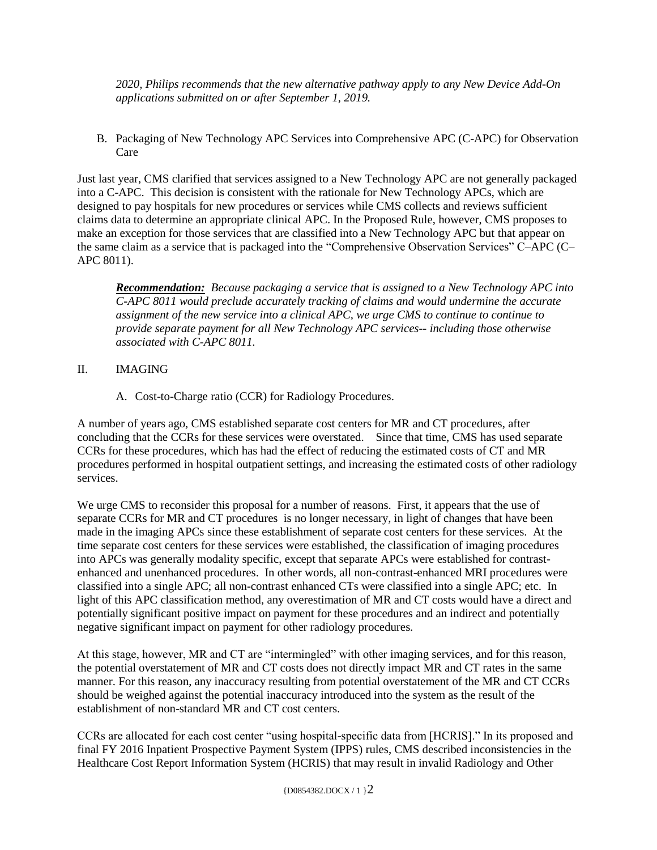*2020, Philips recommends that the new alternative pathway apply to any New Device Add-On applications submitted on or after September 1, 2019.*

B. Packaging of New Technology APC Services into Comprehensive APC (C-APC) for Observation Care

Just last year, CMS clarified that services assigned to a New Technology APC are not generally packaged into a C-APC. This decision is consistent with the rationale for New Technology APCs, which are designed to pay hospitals for new procedures or services while CMS collects and reviews sufficient claims data to determine an appropriate clinical APC. In the Proposed Rule, however, CMS proposes to make an exception for those services that are classified into a New Technology APC but that appear on the same claim as a service that is packaged into the "Comprehensive Observation Services" C–APC (C– APC 8011).

*Recommendation: Because packaging a service that is assigned to a New Technology APC into C-APC 8011 would preclude accurately tracking of claims and would undermine the accurate assignment of the new service into a clinical APC, we urge CMS to continue to continue to provide separate payment for all New Technology APC services-- including those otherwise associated with C-APC 8011.* 

# II. IMAGING

A. Cost-to-Charge ratio (CCR) for Radiology Procedures.

A number of years ago, CMS established separate cost centers for MR and CT procedures, after concluding that the CCRs for these services were overstated. Since that time, CMS has used separate CCRs for these procedures, which has had the effect of reducing the estimated costs of CT and MR procedures performed in hospital outpatient settings, and increasing the estimated costs of other radiology services.

We urge CMS to reconsider this proposal for a number of reasons. First, it appears that the use of separate CCRs for MR and CT procedures is no longer necessary, in light of changes that have been made in the imaging APCs since these establishment of separate cost centers for these services. At the time separate cost centers for these services were established, the classification of imaging procedures into APCs was generally modality specific, except that separate APCs were established for contrastenhanced and unenhanced procedures. In other words, all non-contrast-enhanced MRI procedures were classified into a single APC; all non-contrast enhanced CTs were classified into a single APC; etc. In light of this APC classification method, any overestimation of MR and CT costs would have a direct and potentially significant positive impact on payment for these procedures and an indirect and potentially negative significant impact on payment for other radiology procedures.

At this stage, however, MR and CT are "intermingled" with other imaging services, and for this reason, the potential overstatement of MR and CT costs does not directly impact MR and CT rates in the same manner. For this reason, any inaccuracy resulting from potential overstatement of the MR and CT CCRs should be weighed against the potential inaccuracy introduced into the system as the result of the establishment of non-standard MR and CT cost centers.

CCRs are allocated for each cost center "using hospital-specific data from [HCRIS]." In its proposed and final FY 2016 Inpatient Prospective Payment System (IPPS) rules, CMS described inconsistencies in the Healthcare Cost Report Information System (HCRIS) that may result in invalid Radiology and Other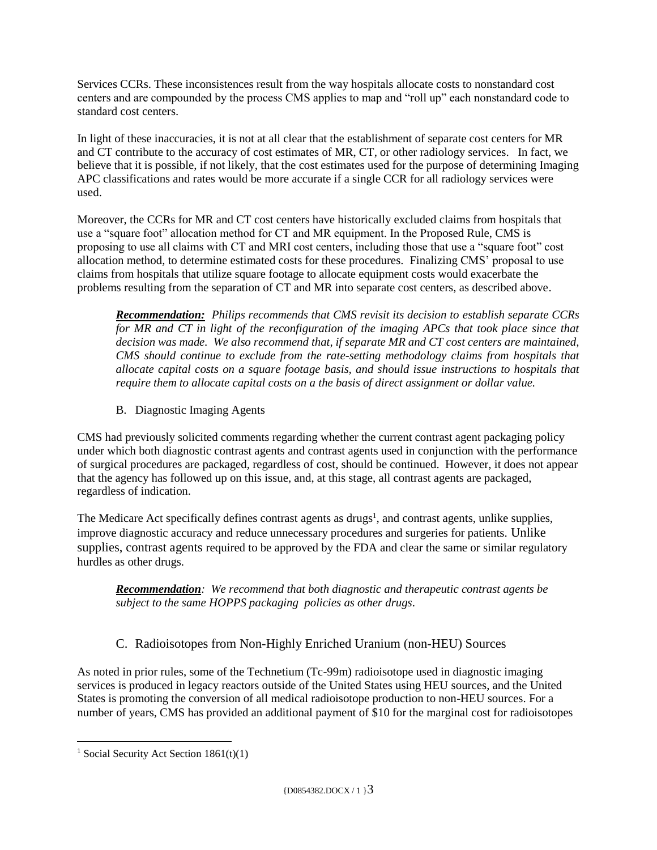Services CCRs. These inconsistences result from the way hospitals allocate costs to nonstandard cost centers and are compounded by the process CMS applies to map and "roll up" each nonstandard code to standard cost centers.

In light of these inaccuracies, it is not at all clear that the establishment of separate cost centers for MR and CT contribute to the accuracy of cost estimates of MR, CT, or other radiology services. In fact, we believe that it is possible, if not likely, that the cost estimates used for the purpose of determining Imaging APC classifications and rates would be more accurate if a single CCR for all radiology services were used.

Moreover, the CCRs for MR and CT cost centers have historically excluded claims from hospitals that use a "square foot" allocation method for CT and MR equipment. In the Proposed Rule, CMS is proposing to use all claims with CT and MRI cost centers, including those that use a "square foot" cost allocation method, to determine estimated costs for these procedures. Finalizing CMS' proposal to use claims from hospitals that utilize square footage to allocate equipment costs would exacerbate the problems resulting from the separation of CT and MR into separate cost centers, as described above.

*Recommendation: Philips recommends that CMS revisit its decision to establish separate CCRs for MR and CT in light of the reconfiguration of the imaging APCs that took place since that decision was made. We also recommend that, if separate MR and CT cost centers are maintained, CMS should continue to exclude from the rate-setting methodology claims from hospitals that allocate capital costs on a square footage basis, and should issue instructions to hospitals that require them to allocate capital costs on a the basis of direct assignment or dollar value.* 

B. Diagnostic Imaging Agents

CMS had previously solicited comments regarding whether the current contrast agent packaging policy under which both diagnostic contrast agents and contrast agents used in conjunction with the performance of surgical procedures are packaged, regardless of cost, should be continued. However, it does not appear that the agency has followed up on this issue, and, at this stage, all contrast agents are packaged, regardless of indication.

The Medicare Act specifically defines contrast agents as drugs<sup>1</sup>, and contrast agents, unlike supplies, improve diagnostic accuracy and reduce unnecessary procedures and surgeries for patients. Unlike supplies, contrast agents required to be approved by the FDA and clear the same or similar regulatory hurdles as other drugs.

*Recommendation: We recommend that both diagnostic and therapeutic contrast agents be subject to the same HOPPS packaging policies as other drugs*.

# C. Radioisotopes from Non-Highly Enriched Uranium (non-HEU) Sources

As noted in prior rules, some of the Technetium (Tc-99m) radioisotope used in diagnostic imaging services is produced in legacy reactors outside of the United States using HEU sources, and the United States is promoting the conversion of all medical radioisotope production to non-HEU sources. For a number of years, CMS has provided an additional payment of \$10 for the marginal cost for radioisotopes

 $\overline{a}$ 

<sup>&</sup>lt;sup>1</sup> Social Security Act Section  $1861(t)(1)$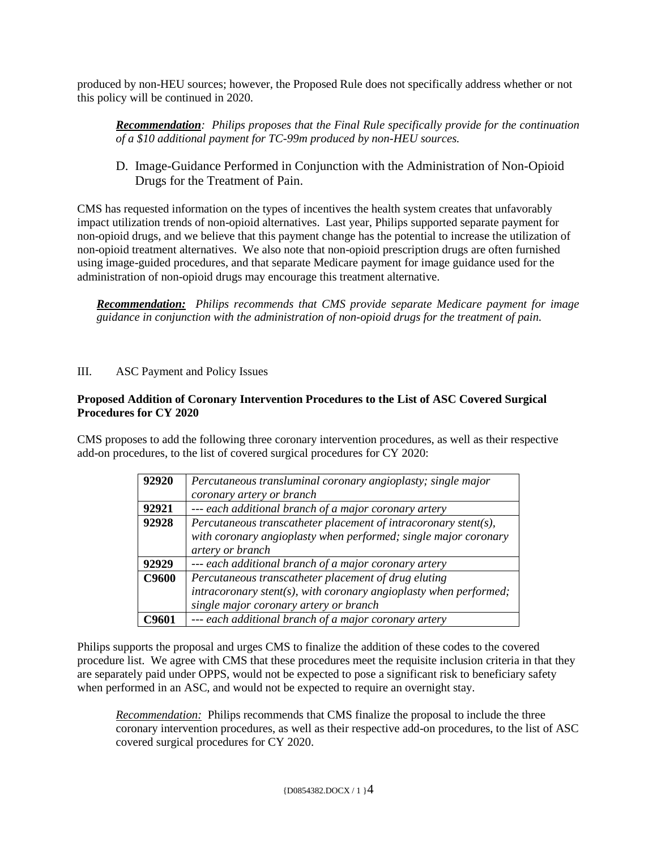produced by non-HEU sources; however, the Proposed Rule does not specifically address whether or not this policy will be continued in 2020.

*Recommendation: Philips proposes that the Final Rule specifically provide for the continuation of a \$10 additional payment for TC-99m produced by non-HEU sources.* 

D. Image-Guidance Performed in Conjunction with the Administration of Non-Opioid Drugs for the Treatment of Pain.

CMS has requested information on the types of incentives the health system creates that unfavorably impact utilization trends of non-opioid alternatives. Last year, Philips supported separate payment for non-opioid drugs, and we believe that this payment change has the potential to increase the utilization of non-opioid treatment alternatives. We also note that non-opioid prescription drugs are often furnished using image-guided procedures, and that separate Medicare payment for image guidance used for the administration of non-opioid drugs may encourage this treatment alternative.

*Recommendation: Philips recommends that CMS provide separate Medicare payment for image guidance in conjunction with the administration of non-opioid drugs for the treatment of pain.* 

# III. ASC Payment and Policy Issues

#### **Proposed Addition of Coronary Intervention Procedures to the List of ASC Covered Surgical Procedures for CY 2020**

CMS proposes to add the following three coronary intervention procedures, as well as their respective add-on procedures, to the list of covered surgical procedures for CY 2020:

| 92920        | Percutaneous transluminal coronary angioplasty; single major        |
|--------------|---------------------------------------------------------------------|
|              | coronary artery or branch                                           |
| 92921        | --- each additional branch of a major coronary artery               |
| 92928        | Percutaneous transcatheter placement of intracoronary stent(s),     |
|              | with coronary angioplasty when performed; single major coronary     |
|              | artery or branch                                                    |
| 92929        | --- each additional branch of a major coronary artery               |
| <b>C9600</b> | Percutaneous transcatheter placement of drug eluting                |
|              | $intracoronary$ stent(s), with coronary angioplasty when performed; |
|              | single major coronary artery or branch                              |
| °9601        | --- each additional branch of a major coronary artery               |

Philips supports the proposal and urges CMS to finalize the addition of these codes to the covered procedure list. We agree with CMS that these procedures meet the requisite inclusion criteria in that they are separately paid under OPPS, would not be expected to pose a significant risk to beneficiary safety when performed in an ASC, and would not be expected to require an overnight stay.

*Recommendation:* Philips recommends that CMS finalize the proposal to include the three coronary intervention procedures, as well as their respective add-on procedures, to the list of ASC covered surgical procedures for CY 2020.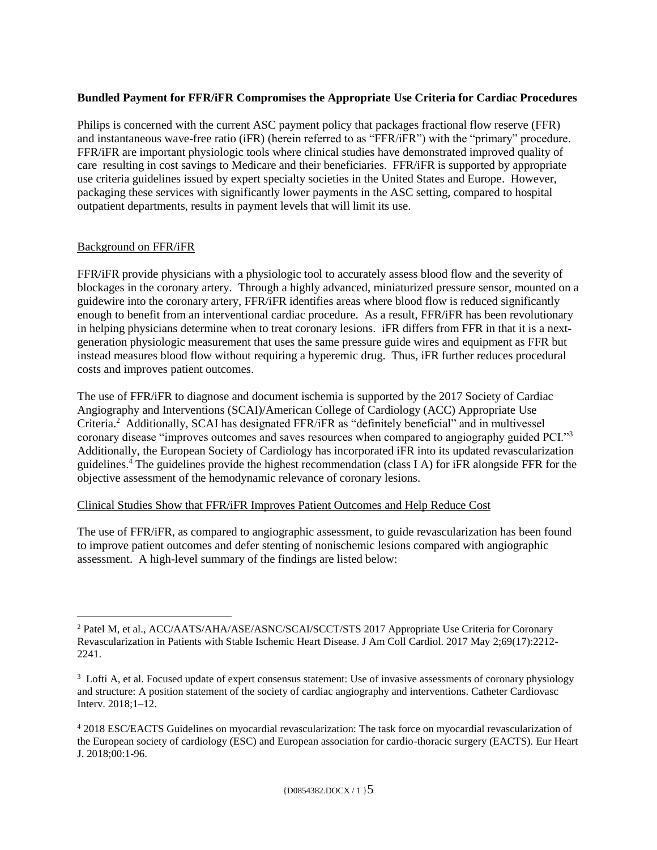# **Bundled Payment for FFR/iFR Compromises the Appropriate Use Criteria for Cardiac Procedures**

Philips is concerned with the current ASC payment policy that packages fractional flow reserve (FFR) and instantaneous wave-free ratio (iFR) (herein referred to as "FFR/iFR") with the "primary" procedure. FFR/iFR are important physiologic tools where clinical studies have demonstrated improved quality of care resulting in cost savings to Medicare and their beneficiaries. FFR/iFR is supported by appropriate use criteria guidelines issued by expert specialty societies in the United States and Europe. However, packaging these services with significantly lower payments in the ASC setting, compared to hospital outpatient departments, results in payment levels that will limit its use.

#### Background on FFR/iFR

FFR/iFR provide physicians with a physiologic tool to accurately assess blood flow and the severity of blockages in the coronary artery. Through a highly advanced, miniaturized pressure sensor, mounted on a guidewire into the coronary artery, FFR/iFR identifies areas where blood flow is reduced significantly enough to benefit from an interventional cardiac procedure. As a result, FFR/iFR has been revolutionary in helping physicians determine when to treat coronary lesions. iFR differs from FFR in that it is a nextgeneration physiologic measurement that uses the same pressure guide wires and equipment as FFR but instead measures blood flow without requiring a hyperemic drug. Thus, iFR further reduces procedural costs and improves patient outcomes.

The use of FFR/iFR to diagnose and document ischemia is supported by the 2017 Society of Cardiac Angiography and Interventions (SCAI)/American College of Cardiology (ACC) Appropriate Use Criteria.<sup>2</sup> Additionally, SCAI has designated FFR/iFR as "definitely beneficial" and in multivessel coronary disease "improves outcomes and saves resources when compared to angiography guided PCI."<sup>3</sup> Additionally, the European Society of Cardiology has incorporated iFR into its updated revascularization guidelines.<sup>4</sup> The guidelines provide the highest recommendation (class I A) for iFR alongside FFR for the objective assessment of the hemodynamic relevance of coronary lesions.

#### Clinical Studies Show that FFR/iFR Improves Patient Outcomes and Help Reduce Cost

The use of FFR/iFR, as compared to angiographic assessment, to guide revascularization has been found to improve patient outcomes and defer stenting of nonischemic lesions compared with angiographic assessment. A high-level summary of the findings are listed below:

 $\overline{a}$ <sup>2</sup> Patel M, et al., ACC/AATS/AHA/ASE/ASNC/SCAI/SCCT/STS 2017 Appropriate Use Criteria for Coronary Revascularization in Patients with Stable Ischemic Heart Disease. J Am Coll Cardiol. 2017 May 2;69(17):2212- 2241.

<sup>&</sup>lt;sup>3</sup> Lofti A, et al. Focused update of expert consensus statement: Use of invasive assessments of coronary physiology and structure: A position statement of the society of cardiac angiography and interventions. Catheter Cardiovasc Interv. 2018;1–12.

<sup>4</sup> 2018 ESC/EACTS Guidelines on myocardial revascularization: The task force on myocardial revascularization of the European society of cardiology (ESC) and European association for cardio-thoracic surgery (EACTS). Eur Heart J. 2018;00:1-96.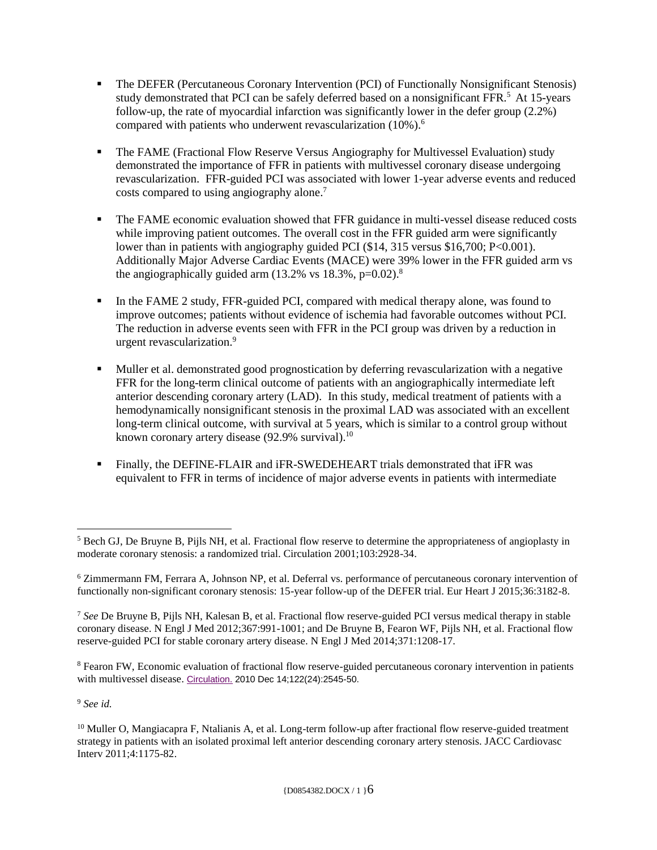- The DEFER (Percutaneous Coronary Intervention (PCI) of Functionally Nonsignificant Stenosis) study demonstrated that PCI can be safely deferred based on a nonsignificant FFR.<sup>5</sup> At 15-years follow-up, the rate of myocardial infarction was significantly lower in the defer group (2.2%) compared with patients who underwent revascularization (10%).<sup>6</sup>
- The FAME (Fractional Flow Reserve Versus Angiography for Multivessel Evaluation) study demonstrated the importance of FFR in patients with multivessel coronary disease undergoing revascularization. FFR-guided PCI was associated with lower 1-year adverse events and reduced costs compared to using angiography alone. 7
- The FAME economic evaluation showed that FFR guidance in multi-vessel disease reduced costs while improving patient outcomes. The overall cost in the FFR guided arm were significantly lower than in patients with angiography guided PCI (\$14, 315 versus \$16,700; P<0.001). Additionally Major Adverse Cardiac Events (MACE) were 39% lower in the FFR guided arm vs the angiographically guided arm  $(13.2\% \text{ vs } 18.3\%, \text{p=0.02}).$ <sup>8</sup>
- In the FAME 2 study, FFR-guided PCI, compared with medical therapy alone, was found to improve outcomes; patients without evidence of ischemia had favorable outcomes without PCI. The reduction in adverse events seen with FFR in the PCI group was driven by a reduction in urgent revascularization.<sup>9</sup>
- Muller et al. demonstrated good prognostication by deferring revascularization with a negative FFR for the long-term clinical outcome of patients with an angiographically intermediate left anterior descending coronary artery (LAD). In this study, medical treatment of patients with a hemodynamically nonsignificant stenosis in the proximal LAD was associated with an excellent long-term clinical outcome, with survival at 5 years, which is similar to a control group without known coronary artery disease (92.9% survival).<sup>10</sup>
- Finally, the DEFINE-FLAIR and iFR-SWEDEHEART trials demonstrated that iFR was equivalent to FFR in terms of incidence of major adverse events in patients with intermediate

<sup>8</sup> Fearon FW, Economic evaluation of fractional flow reserve-guided percutaneous coronary intervention in patients with multivessel disease. [Circulation.](https://www.ncbi.nlm.nih.gov/pubmed/21126973) 2010 Dec 14;122(24):2545-50.

<sup>9</sup> *See id.*

 $\overline{a}$ 

<sup>5</sup> Bech GJ, De Bruyne B, Pijls NH, et al. Fractional flow reserve to determine the appropriateness of angioplasty in moderate coronary stenosis: a randomized trial. Circulation 2001;103:2928-34.

<sup>6</sup> Zimmermann FM, Ferrara A, Johnson NP, et al. Deferral vs. performance of percutaneous coronary intervention of functionally non-significant coronary stenosis: 15-year follow-up of the DEFER trial. Eur Heart J 2015;36:3182-8.

<sup>7</sup> *See* De Bruyne B, Pijls NH, Kalesan B, et al. Fractional flow reserve-guided PCI versus medical therapy in stable coronary disease. N Engl J Med 2012;367:991-1001; and De Bruyne B, Fearon WF, Pijls NH, et al. Fractional flow reserve-guided PCI for stable coronary artery disease. N Engl J Med 2014;371:1208-17.

<sup>&</sup>lt;sup>10</sup> Muller O, Mangiacapra F, Ntalianis A, et al. Long-term follow-up after fractional flow reserve-guided treatment strategy in patients with an isolated proximal left anterior descending coronary artery stenosis. JACC Cardiovasc Interv 2011;4:1175-82.